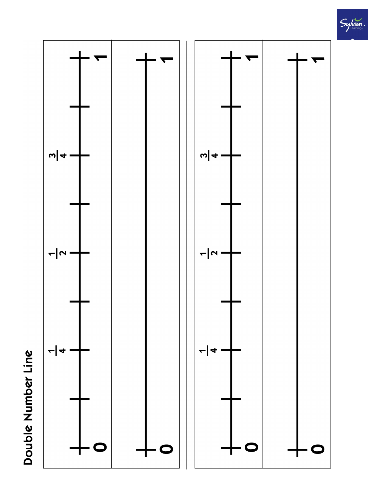



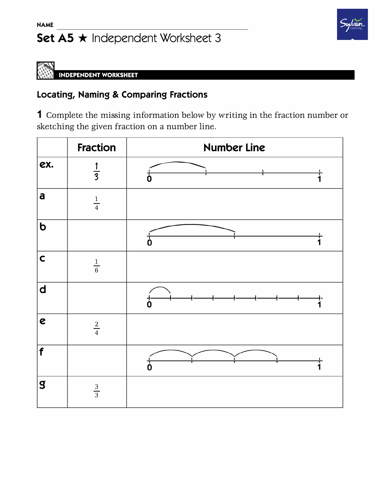## Set  $A5 \star$  Independent Worksheet 3

## Sylvan

## **INDEPENDENT WORKSHEET**

## **Locating, Naming & Comparing Fractions**

1 Complete the missing information below by writing in the fraction number or sketching the given fraction on a number line.

|                         | <b>Fraction</b> | <b>Number Line</b>      |
|-------------------------|-----------------|-------------------------|
| ex.                     | $\overline{3}$  | $\overline{\mathbf{0}}$ |
| a                       | $\frac{1}{4}$   |                         |
| $\overline{b}$          |                 | O                       |
| $\mathsf{C}$            | $\frac{1}{6}$   |                         |
| $\mathbf d$             |                 | $\mathrm{d}$            |
| $\mathbf{c}$            | $\frac{2}{4}$   |                         |
| f                       |                 | $\overline{\mathsf{0}}$ |
| $\overline{\mathbf{S}}$ | $rac{3}{3}$     |                         |